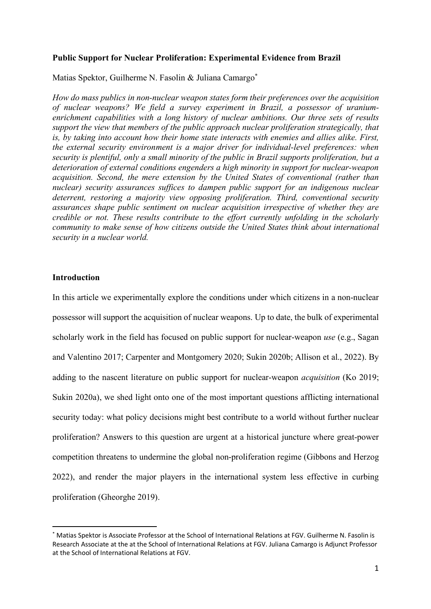#### **Public Support for Nuclear Proliferation: Experimental Evidence from Brazil**

Matias Spektor, Guilherme N. Fasolin & Juliana Camargo\*

*How do mass publics in non-nuclear weapon states form their preferences over the acquisition of nuclear weapons? We field a survey experiment in Brazil, a possessor of uraniumenrichment capabilities with a long history of nuclear ambitions. Our three sets of results support the view that members of the public approach nuclear proliferation strategically, that is, by taking into account how their home state interacts with enemies and allies alike. First, the external security environment is a major driver for individual-level preferences: when security is plentiful, only a small minority of the public in Brazil supports proliferation, but a deterioration of external conditions engenders a high minority in support for nuclear-weapon acquisition. Second, the mere extension by the United States of conventional (rather than nuclear) security assurances suffices to dampen public support for an indigenous nuclear deterrent, restoring a majority view opposing proliferation. Third, conventional security assurances shape public sentiment on nuclear acquisition irrespective of whether they are credible or not. These results contribute to the effort currently unfolding in the scholarly community to make sense of how citizens outside the United States think about international security in a nuclear world.* 

#### **Introduction**

In this article we experimentally explore the conditions under which citizens in a non-nuclear possessor will support the acquisition of nuclear weapons. Up to date, the bulk of experimental scholarly work in the field has focused on public support for nuclear-weapon *use* (e.g., Sagan and Valentino 2017; Carpenter and Montgomery 2020; Sukin 2020b; Allison et al., 2022). By adding to the nascent literature on public support for nuclear-weapon *acquisition* (Ko 2019; Sukin 2020a), we shed light onto one of the most important questions afflicting international security today: what policy decisions might best contribute to a world without further nuclear proliferation? Answers to this question are urgent at a historical juncture where great-power competition threatens to undermine the global non-proliferation regime (Gibbons and Herzog 2022), and render the major players in the international system less effective in curbing proliferation (Gheorghe 2019).

Matias Spektor is Associate Professor at the School of International Relations at FGV. Guilherme N. Fasolin is Research Associate at the at the School of International Relations at FGV. Juliana Camargo is Adjunct Professor at the School of International Relations at FGV.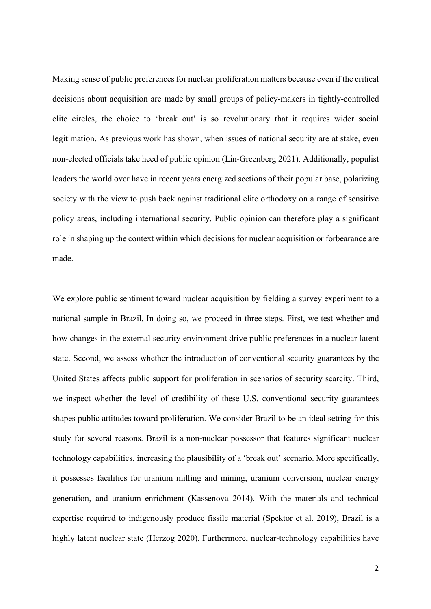Making sense of public preferences for nuclear proliferation matters because even if the critical decisions about acquisition are made by small groups of policy-makers in tightly-controlled elite circles, the choice to 'break out' is so revolutionary that it requires wider social legitimation. As previous work has shown, when issues of national security are at stake, even non-elected officials take heed of public opinion (Lin-Greenberg 2021). Additionally, populist leaders the world over have in recent years energized sections of their popular base, polarizing society with the view to push back against traditional elite orthodoxy on a range of sensitive policy areas, including international security. Public opinion can therefore play a significant role in shaping up the context within which decisions for nuclear acquisition or forbearance are made.

We explore public sentiment toward nuclear acquisition by fielding a survey experiment to a national sample in Brazil. In doing so, we proceed in three steps. First, we test whether and how changes in the external security environment drive public preferences in a nuclear latent state. Second, we assess whether the introduction of conventional security guarantees by the United States affects public support for proliferation in scenarios of security scarcity. Third, we inspect whether the level of credibility of these U.S. conventional security guarantees shapes public attitudes toward proliferation. We consider Brazil to be an ideal setting for this study for several reasons. Brazil is a non-nuclear possessor that features significant nuclear technology capabilities, increasing the plausibility of a 'break out' scenario. More specifically, it possesses facilities for uranium milling and mining, uranium conversion, nuclear energy generation, and uranium enrichment (Kassenova 2014). With the materials and technical expertise required to indigenously produce fissile material (Spektor et al. 2019), Brazil is a highly latent nuclear state (Herzog 2020). Furthermore, nuclear-technology capabilities have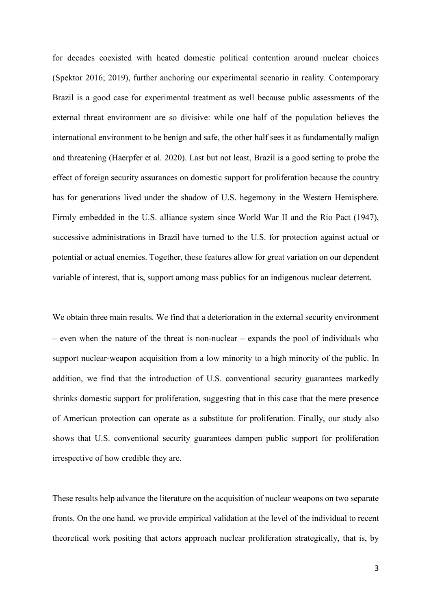for decades coexisted with heated domestic political contention around nuclear choices (Spektor 2016; 2019), further anchoring our experimental scenario in reality. Contemporary Brazil is a good case for experimental treatment as well because public assessments of the external threat environment are so divisive: while one half of the population believes the international environment to be benign and safe, the other half sees it as fundamentally malign and threatening (Haerpfer et al. 2020). Last but not least, Brazil is a good setting to probe the effect of foreign security assurances on domestic support for proliferation because the country has for generations lived under the shadow of U.S. hegemony in the Western Hemisphere. Firmly embedded in the U.S. alliance system since World War II and the Rio Pact (1947), successive administrations in Brazil have turned to the U.S. for protection against actual or potential or actual enemies. Together, these features allow for great variation on our dependent variable of interest, that is, support among mass publics for an indigenous nuclear deterrent.

We obtain three main results. We find that a deterioration in the external security environment – even when the nature of the threat is non-nuclear – expands the pool of individuals who support nuclear-weapon acquisition from a low minority to a high minority of the public. In addition, we find that the introduction of U.S. conventional security guarantees markedly shrinks domestic support for proliferation, suggesting that in this case that the mere presence of American protection can operate as a substitute for proliferation. Finally, our study also shows that U.S. conventional security guarantees dampen public support for proliferation irrespective of how credible they are.

These results help advance the literature on the acquisition of nuclear weapons on two separate fronts. On the one hand, we provide empirical validation at the level of the individual to recent theoretical work positing that actors approach nuclear proliferation strategically, that is, by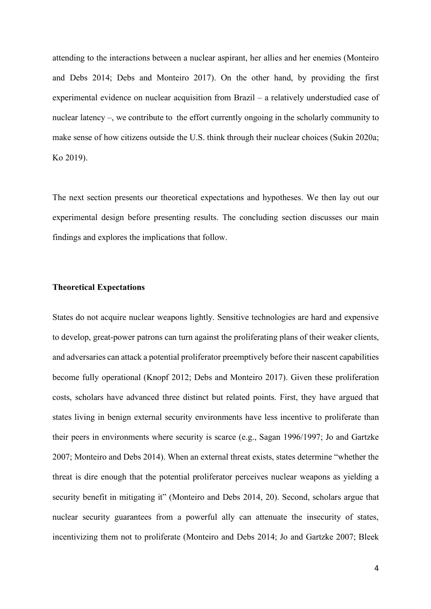attending to the interactions between a nuclear aspirant, her allies and her enemies (Monteiro and Debs 2014; Debs and Monteiro 2017). On the other hand, by providing the first experimental evidence on nuclear acquisition from Brazil – a relatively understudied case of nuclear latency –, we contribute to the effort currently ongoing in the scholarly community to make sense of how citizens outside the U.S. think through their nuclear choices (Sukin 2020a; Ko 2019).

The next section presents our theoretical expectations and hypotheses. We then lay out our experimental design before presenting results. The concluding section discusses our main findings and explores the implications that follow.

#### **Theoretical Expectations**

States do not acquire nuclear weapons lightly. Sensitive technologies are hard and expensive to develop, great-power patrons can turn against the proliferating plans of their weaker clients, and adversaries can attack a potential proliferator preemptively before their nascent capabilities become fully operational (Knopf 2012; Debs and Monteiro 2017). Given these proliferation costs, scholars have advanced three distinct but related points. First, they have argued that states living in benign external security environments have less incentive to proliferate than their peers in environments where security is scarce (e.g., Sagan 1996/1997; Jo and Gartzke 2007; Monteiro and Debs 2014). When an external threat exists, states determine "whether the threat is dire enough that the potential proliferator perceives nuclear weapons as yielding a security benefit in mitigating it" (Monteiro and Debs 2014, 20). Second, scholars argue that nuclear security guarantees from a powerful ally can attenuate the insecurity of states, incentivizing them not to proliferate (Monteiro and Debs 2014; Jo and Gartzke 2007; Bleek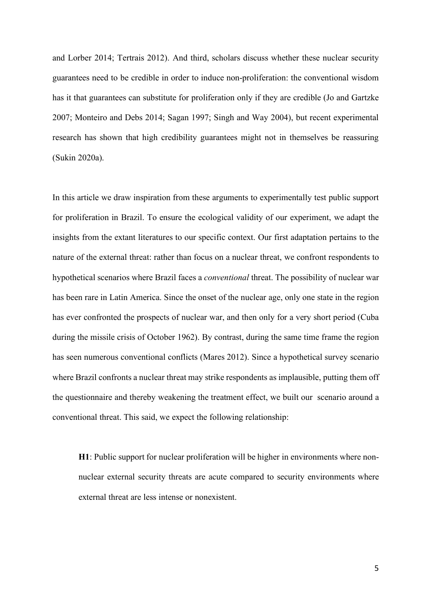and Lorber 2014; Tertrais 2012). And third, scholars discuss whether these nuclear security guarantees need to be credible in order to induce non-proliferation: the conventional wisdom has it that guarantees can substitute for proliferation only if they are credible (Jo and Gartzke 2007; Monteiro and Debs 2014; Sagan 1997; Singh and Way 2004), but recent experimental research has shown that high credibility guarantees might not in themselves be reassuring (Sukin 2020a).

In this article we draw inspiration from these arguments to experimentally test public support for proliferation in Brazil. To ensure the ecological validity of our experiment, we adapt the insights from the extant literatures to our specific context. Our first adaptation pertains to the nature of the external threat: rather than focus on a nuclear threat, we confront respondents to hypothetical scenarios where Brazil faces a *conventional* threat. The possibility of nuclear war has been rare in Latin America. Since the onset of the nuclear age, only one state in the region has ever confronted the prospects of nuclear war, and then only for a very short period (Cuba during the missile crisis of October 1962). By contrast, during the same time frame the region has seen numerous conventional conflicts (Mares 2012). Since a hypothetical survey scenario where Brazil confronts a nuclear threat may strike respondents as implausible, putting them off the questionnaire and thereby weakening the treatment effect, we built our scenario around a conventional threat. This said, we expect the following relationship:

**H1**: Public support for nuclear proliferation will be higher in environments where nonnuclear external security threats are acute compared to security environments where external threat are less intense or nonexistent.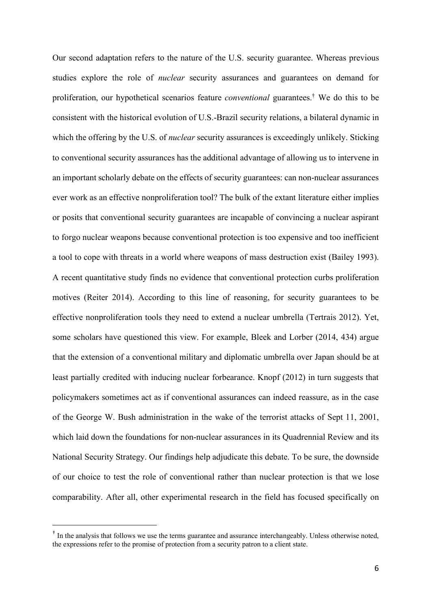Our second adaptation refers to the nature of the U.S. security guarantee. Whereas previous studies explore the role of *nuclear* security assurances and guarantees on demand for proliferation, our hypothetical scenarios feature *conventional* guarantees.† We do this to be consistent with the historical evolution of U.S.-Brazil security relations, a bilateral dynamic in which the offering by the U.S. of *nuclear* security assurances is exceedingly unlikely. Sticking to conventional security assurances has the additional advantage of allowing us to intervene in an important scholarly debate on the effects of security guarantees: can non-nuclear assurances ever work as an effective nonproliferation tool? The bulk of the extant literature either implies or posits that conventional security guarantees are incapable of convincing a nuclear aspirant to forgo nuclear weapons because conventional protection is too expensive and too inefficient a tool to cope with threats in a world where weapons of mass destruction exist (Bailey 1993). A recent quantitative study finds no evidence that conventional protection curbs proliferation motives (Reiter 2014). According to this line of reasoning, for security guarantees to be effective nonproliferation tools they need to extend a nuclear umbrella (Tertrais 2012). Yet, some scholars have questioned this view. For example, Bleek and Lorber (2014, 434) argue that the extension of a conventional military and diplomatic umbrella over Japan should be at least partially credited with inducing nuclear forbearance. Knopf (2012) in turn suggests that policymakers sometimes act as if conventional assurances can indeed reassure, as in the case of the George W. Bush administration in the wake of the terrorist attacks of Sept 11, 2001, which laid down the foundations for non-nuclear assurances in its Quadrennial Review and its National Security Strategy. Our findings help adjudicate this debate. To be sure, the downside of our choice to test the role of conventional rather than nuclear protection is that we lose comparability. After all, other experimental research in the field has focused specifically on

 <sup>†</sup> In the analysis that follows we use the terms guarantee and assurance interchangeably. Unless otherwise noted, the expressions refer to the promise of protection from a security patron to a client state.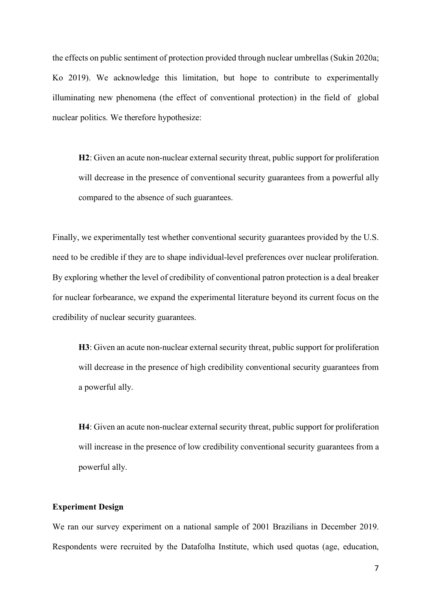the effects on public sentiment of protection provided through nuclear umbrellas (Sukin 2020a; Ko 2019). We acknowledge this limitation, but hope to contribute to experimentally illuminating new phenomena (the effect of conventional protection) in the field of global nuclear politics. We therefore hypothesize:

**H2**: Given an acute non-nuclear external security threat, public support for proliferation will decrease in the presence of conventional security guarantees from a powerful ally compared to the absence of such guarantees.

Finally, we experimentally test whether conventional security guarantees provided by the U.S. need to be credible if they are to shape individual-level preferences over nuclear proliferation. By exploring whether the level of credibility of conventional patron protection is a deal breaker for nuclear forbearance, we expand the experimental literature beyond its current focus on the credibility of nuclear security guarantees.

**H3**: Given an acute non-nuclear external security threat, public support for proliferation will decrease in the presence of high credibility conventional security guarantees from a powerful ally.

**H4**: Given an acute non-nuclear external security threat, public support for proliferation will increase in the presence of low credibility conventional security guarantees from a powerful ally.

## **Experiment Design**

We ran our survey experiment on a national sample of 2001 Brazilians in December 2019. Respondents were recruited by the Datafolha Institute, which used quotas (age, education,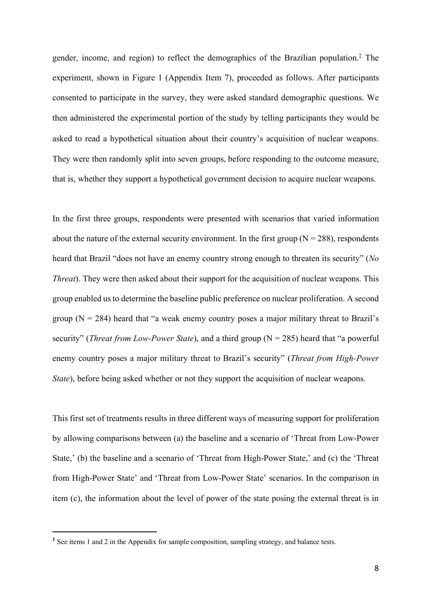gender, income, and region) to reflect the demographics of the Brazilian population.‡ The experiment, shown in Figure 1 (Appendix Item 7), proceeded as follows. After participants consented to participate in the survey, they were asked standard demographic questions. We then administered the experimental portion of the study by telling participants they would be asked to read a hypothetical situation about their country's acquisition of nuclear weapons. They were then randomly split into seven groups, before responding to the outcome measure, that is, whether they support a hypothetical government decision to acquire nuclear weapons.

In the first three groups, respondents were presented with scenarios that varied information about the nature of the external security environment. In the first group  $(N = 288)$ , respondents heard that Brazil "does not have an enemy country strong enough to threaten its security" (*No Threat*). They were then asked about their support for the acquisition of nuclear weapons. This group enabled us to determine the baseline public preference on nuclear proliferation. A second group  $(N = 284)$  heard that "a weak enemy country poses a major military threat to Brazil's security" (*Threat from Low-Power State*), and a third group (N = 285) heard that "a powerful enemy country poses a major military threat to Brazil's security" (*Threat from High-Power State*), before being asked whether or not they support the acquisition of nuclear weapons.

This first set of treatments results in three different ways of measuring support for proliferation by allowing comparisons between (a) the baseline and a scenario of 'Threat from Low-Power State,' (b) the baseline and a scenario of 'Threat from High-Power State,' and (c) the 'Threat from High-Power State' and 'Threat from Low-Power State' scenarios. In the comparison in item (c), the information about the level of power of the state posing the external threat is in

 <sup>‡</sup> See items 1 and 2 in the Appendix for sample composition, sampling strategy, and balance tests.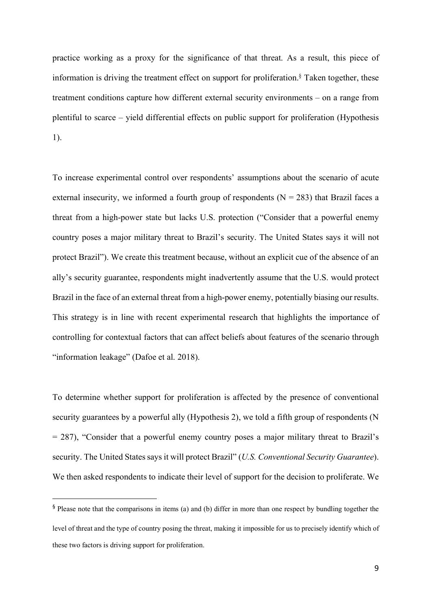practice working as a proxy for the significance of that threat. As a result, this piece of information is driving the treatment effect on support for proliferation.§ Taken together, these treatment conditions capture how different external security environments – on a range from plentiful to scarce – yield differential effects on public support for proliferation (Hypothesis 1).

To increase experimental control over respondents' assumptions about the scenario of acute external insecurity, we informed a fourth group of respondents  $(N = 283)$  that Brazil faces a threat from a high-power state but lacks U.S. protection ("Consider that a powerful enemy country poses a major military threat to Brazil's security. The United States says it will not protect Brazil"). We create this treatment because, without an explicit cue of the absence of an ally's security guarantee, respondents might inadvertently assume that the U.S. would protect Brazil in the face of an external threat from a high-power enemy, potentially biasing our results. This strategy is in line with recent experimental research that highlights the importance of controlling for contextual factors that can affect beliefs about features of the scenario through "information leakage" (Dafoe et al. 2018).

To determine whether support for proliferation is affected by the presence of conventional security guarantees by a powerful ally (Hypothesis 2), we told a fifth group of respondents (N = 287), "Consider that a powerful enemy country poses a major military threat to Brazil's security. The United States says it will protect Brazil" (*U.S. Conventional Security Guarantee*). We then asked respondents to indicate their level of support for the decision to proliferate. We

 <sup>§</sup> Please note that the comparisons in items (a) and (b) differ in more than one respect by bundling together the level of threat and the type of country posing the threat, making it impossible for us to precisely identify which of these two factors is driving support for proliferation.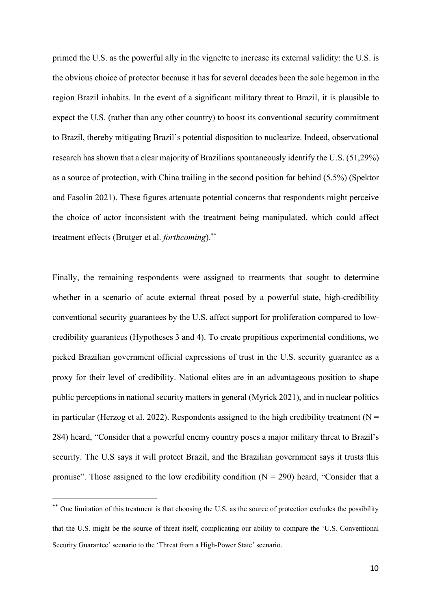primed the U.S. as the powerful ally in the vignette to increase its external validity: the U.S. is the obvious choice of protector because it has for several decades been the sole hegemon in the region Brazil inhabits. In the event of a significant military threat to Brazil, it is plausible to expect the U.S. (rather than any other country) to boost its conventional security commitment to Brazil, thereby mitigating Brazil's potential disposition to nuclearize. Indeed, observational research has shown that a clear majority of Brazilians spontaneously identify the U.S. (51,29%) as a source of protection, with China trailing in the second position far behind (5.5%) (Spektor and Fasolin 2021). These figures attenuate potential concerns that respondents might perceive the choice of actor inconsistent with the treatment being manipulated, which could affect treatment effects (Brutger et al. *forthcoming*).\*\*

Finally, the remaining respondents were assigned to treatments that sought to determine whether in a scenario of acute external threat posed by a powerful state, high-credibility conventional security guarantees by the U.S. affect support for proliferation compared to lowcredibility guarantees (Hypotheses 3 and 4). To create propitious experimental conditions, we picked Brazilian government official expressions of trust in the U.S. security guarantee as a proxy for their level of credibility. National elites are in an advantageous position to shape public perceptions in national security matters in general (Myrick 2021), and in nuclear politics in particular (Herzog et al. 2022). Respondents assigned to the high credibility treatment ( $N =$ 284) heard, "Consider that a powerful enemy country poses a major military threat to Brazil's security. The U.S says it will protect Brazil, and the Brazilian government says it trusts this promise". Those assigned to the low credibility condition  $(N = 290)$  heard, "Consider that a

<sup>\*\*</sup> One limitation of this treatment is that choosing the U.S. as the source of protection excludes the possibility that the U.S. might be the source of threat itself, complicating our ability to compare the 'U.S. Conventional Security Guarantee' scenario to the 'Threat from a High-Power State' scenario.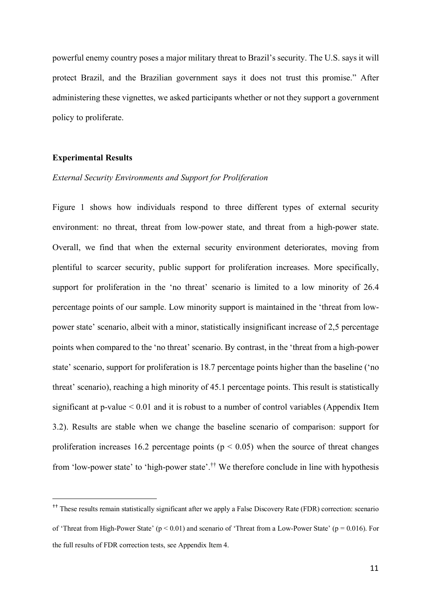powerful enemy country poses a major military threat to Brazil's security. The U.S. says it will protect Brazil, and the Brazilian government says it does not trust this promise." After administering these vignettes, we asked participants whether or not they support a government policy to proliferate.

### **Experimental Results**

## *External Security Environments and Support for Proliferation*

Figure 1 shows how individuals respond to three different types of external security environment: no threat, threat from low-power state, and threat from a high-power state. Overall, we find that when the external security environment deteriorates, moving from plentiful to scarcer security, public support for proliferation increases. More specifically, support for proliferation in the 'no threat' scenario is limited to a low minority of 26.4 percentage points of our sample. Low minority support is maintained in the 'threat from lowpower state' scenario, albeit with a minor, statistically insignificant increase of 2,5 percentage points when compared to the 'no threat' scenario. By contrast, in the 'threat from a high-power state' scenario, support for proliferation is 18.7 percentage points higher than the baseline ('no threat' scenario), reaching a high minority of 45.1 percentage points. This result is statistically significant at p-value  $\leq 0.01$  and it is robust to a number of control variables (Appendix Item 3.2). Results are stable when we change the baseline scenario of comparison: support for proliferation increases 16.2 percentage points ( $p < 0.05$ ) when the source of threat changes from 'low-power state' to 'high-power state'.†† We therefore conclude in line with hypothesis

 <sup>††</sup> These results remain statistically significant after we apply a False Discovery Rate (FDR) correction: scenario of 'Threat from High-Power State' ( $p < 0.01$ ) and scenario of 'Threat from a Low-Power State' ( $p = 0.016$ ). For the full results of FDR correction tests, see Appendix Item 4.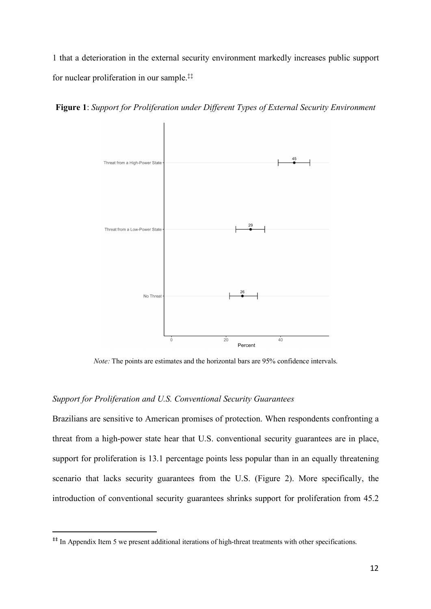1 that a deterioration in the external security environment markedly increases public support for nuclear proliferation in our sample. ‡‡



**Figure 1**: *Support for Proliferation under Different Types of External Security Environment* 

*Note:* The points are estimates and the horizontal bars are 95% confidence intervals.

## *Support for Proliferation and U.S. Conventional Security Guarantees*

Brazilians are sensitive to American promises of protection. When respondents confronting a threat from a high-power state hear that U.S. conventional security guarantees are in place, support for proliferation is 13.1 percentage points less popular than in an equally threatening scenario that lacks security guarantees from the U.S. (Figure 2). More specifically, the introduction of conventional security guarantees shrinks support for proliferation from 45.2

<sup>&</sup>lt;sup>‡‡</sup> In Appendix Item 5 we present additional iterations of high-threat treatments with other specifications.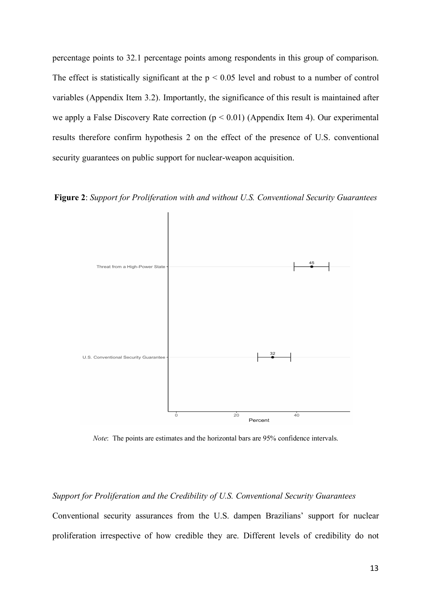percentage points to 32.1 percentage points among respondents in this group of comparison. The effect is statistically significant at the  $p < 0.05$  level and robust to a number of control variables (Appendix Item 3.2). Importantly, the significance of this result is maintained after we apply a False Discovery Rate correction ( $p < 0.01$ ) (Appendix Item 4). Our experimental results therefore confirm hypothesis 2 on the effect of the presence of U.S. conventional security guarantees on public support for nuclear-weapon acquisition.

**Figure 2**: *Support for Proliferation with and without U.S. Conventional Security Guarantees*



*Note*: The points are estimates and the horizontal bars are 95% confidence intervals.

# *Support for Proliferation and the Credibility of U.S. Conventional Security Guarantees*

Conventional security assurances from the U.S. dampen Brazilians' support for nuclear proliferation irrespective of how credible they are. Different levels of credibility do not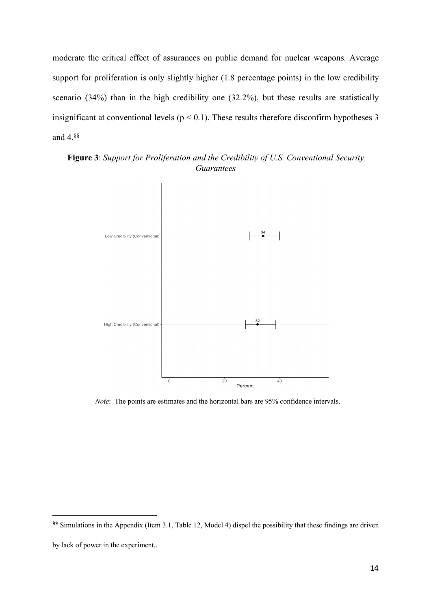moderate the critical effect of assurances on public demand for nuclear weapons. Average support for proliferation is only slightly higher (1.8 percentage points) in the low credibility scenario (34%) than in the high credibility one (32.2%), but these results are statistically insignificant at conventional levels ( $p < 0.1$ ). These results therefore disconfirm hypotheses 3 and 4.§§



**Figure 3**: *Support for Proliferation and the Credibility of U.S. Conventional Security Guarantees*

*Note*: The points are estimates and the horizontal bars are 95% confidence intervals.

 <sup>§§</sup> Simulations in the Appendix (Item 3.1, Table 12, Model 4) dispel the possibility that these findings are driven

by lack of power in the experiment..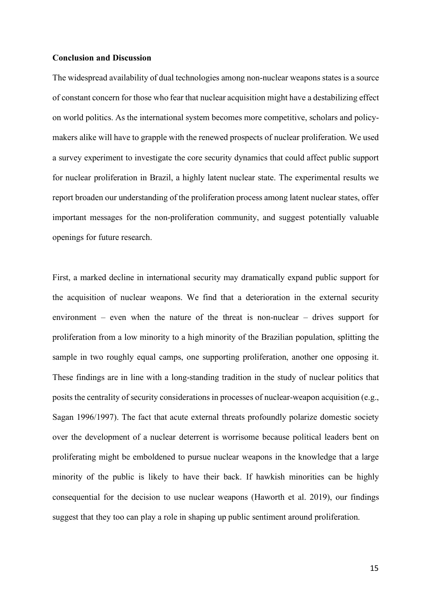#### **Conclusion and Discussion**

The widespread availability of dual technologies among non-nuclear weapons states is a source of constant concern for those who fear that nuclear acquisition might have a destabilizing effect on world politics. As the international system becomes more competitive, scholars and policymakers alike will have to grapple with the renewed prospects of nuclear proliferation. We used a survey experiment to investigate the core security dynamics that could affect public support for nuclear proliferation in Brazil, a highly latent nuclear state. The experimental results we report broaden our understanding of the proliferation process among latent nuclear states, offer important messages for the non-proliferation community, and suggest potentially valuable openings for future research.

First, a marked decline in international security may dramatically expand public support for the acquisition of nuclear weapons. We find that a deterioration in the external security environment – even when the nature of the threat is non-nuclear – drives support for proliferation from a low minority to a high minority of the Brazilian population, splitting the sample in two roughly equal camps, one supporting proliferation, another one opposing it. These findings are in line with a long-standing tradition in the study of nuclear politics that posits the centrality of security considerations in processes of nuclear-weapon acquisition (e.g., Sagan 1996/1997). The fact that acute external threats profoundly polarize domestic society over the development of a nuclear deterrent is worrisome because political leaders bent on proliferating might be emboldened to pursue nuclear weapons in the knowledge that a large minority of the public is likely to have their back. If hawkish minorities can be highly consequential for the decision to use nuclear weapons (Haworth et al. 2019), our findings suggest that they too can play a role in shaping up public sentiment around proliferation.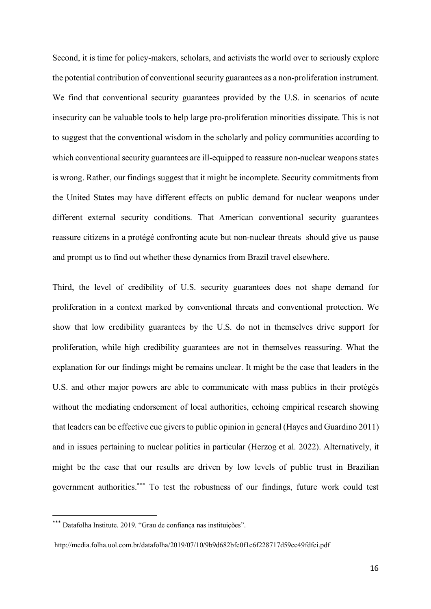Second, it is time for policy-makers, scholars, and activists the world over to seriously explore the potential contribution of conventional security guarantees as a non-proliferation instrument. We find that conventional security guarantees provided by the U.S. in scenarios of acute insecurity can be valuable tools to help large pro-proliferation minorities dissipate. This is not to suggest that the conventional wisdom in the scholarly and policy communities according to which conventional security guarantees are ill-equipped to reassure non-nuclear weapons states is wrong. Rather, our findings suggest that it might be incomplete. Security commitments from the United States may have different effects on public demand for nuclear weapons under different external security conditions. That American conventional security guarantees reassure citizens in a protégé confronting acute but non-nuclear threats should give us pause and prompt us to find out whether these dynamics from Brazil travel elsewhere.

Third, the level of credibility of U.S. security guarantees does not shape demand for proliferation in a context marked by conventional threats and conventional protection. We show that low credibility guarantees by the U.S. do not in themselves drive support for proliferation, while high credibility guarantees are not in themselves reassuring. What the explanation for our findings might be remains unclear. It might be the case that leaders in the U.S. and other major powers are able to communicate with mass publics in their protégés without the mediating endorsement of local authorities, echoing empirical research showing that leaders can be effective cue givers to public opinion in general (Hayes and Guardino 2011) and in issues pertaining to nuclear politics in particular (Herzog et al. 2022). Alternatively, it might be the case that our results are driven by low levels of public trust in Brazilian government authorities.\*\*\* To test the robustness of our findings, future work could test

<sup>\*\*\*</sup> Datafolha Institute. 2019. "Grau de confiança nas instituições".

http://media.folha.uol.com.br/datafolha/2019/07/10/9b9d682bfe0f1c6f228717d59ce49fdfci.pdf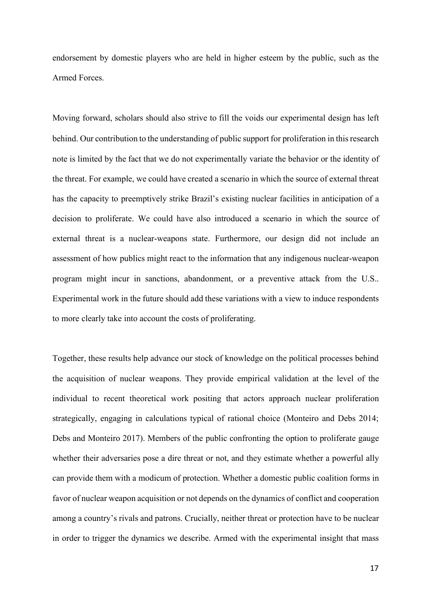endorsement by domestic players who are held in higher esteem by the public, such as the Armed Forces.

Moving forward, scholars should also strive to fill the voids our experimental design has left behind. Our contribution to the understanding of public support for proliferation in this research note is limited by the fact that we do not experimentally variate the behavior or the identity of the threat. For example, we could have created a scenario in which the source of external threat has the capacity to preemptively strike Brazil's existing nuclear facilities in anticipation of a decision to proliferate. We could have also introduced a scenario in which the source of external threat is a nuclear-weapons state. Furthermore, our design did not include an assessment of how publics might react to the information that any indigenous nuclear-weapon program might incur in sanctions, abandonment, or a preventive attack from the U.S.. Experimental work in the future should add these variations with a view to induce respondents to more clearly take into account the costs of proliferating.

Together, these results help advance our stock of knowledge on the political processes behind the acquisition of nuclear weapons. They provide empirical validation at the level of the individual to recent theoretical work positing that actors approach nuclear proliferation strategically, engaging in calculations typical of rational choice (Monteiro and Debs 2014; Debs and Monteiro 2017). Members of the public confronting the option to proliferate gauge whether their adversaries pose a dire threat or not, and they estimate whether a powerful ally can provide them with a modicum of protection. Whether a domestic public coalition forms in favor of nuclear weapon acquisition or not depends on the dynamics of conflict and cooperation among a country's rivals and patrons. Crucially, neither threat or protection have to be nuclear in order to trigger the dynamics we describe. Armed with the experimental insight that mass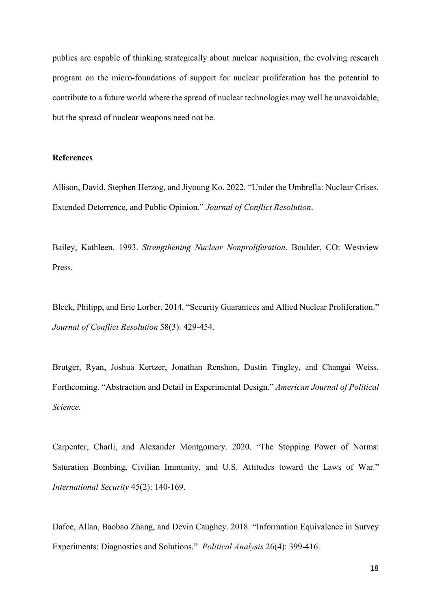publics are capable of thinking strategically about nuclear acquisition, the evolving research program on the micro-foundations of support for nuclear proliferation has the potential to contribute to a future world where the spread of nuclear technologies may well be unavoidable, but the spread of nuclear weapons need not be.

## **References**

Allison, David, Stephen Herzog, and Jiyoung Ko. 2022. "Under the Umbrella: Nuclear Crises, Extended Deterrence, and Public Opinion." *Journal of Conflict Resolution*.

Bailey, Kathleen. 1993. *Strengthening Nuclear Nonproliferation*. Boulder, CO: Westview Press.

Bleek, Philipp, and Eric Lorber. 2014. "Security Guarantees and Allied Nuclear Proliferation." *Journal of Conflict Resolution* 58(3): 429-454.

Brutger, Ryan, Joshua Kertzer, Jonathan Renshon, Dustin Tingley, and Changai Weiss. Forthcoming. "Abstraction and Detail in Experimental Design." *American Journal of Political Science.*

Carpenter, Charli, and Alexander Montgomery. 2020. "The Stopping Power of Norms: Saturation Bombing, Civilian Immunity, and U.S. Attitudes toward the Laws of War." *International Security* 45(2): 140-169.

Dafoe, Allan, Baobao Zhang, and Devin Caughey. 2018. "Information Equivalence in Survey Experiments: Diagnostics and Solutions." *Political Analysis* 26(4): 399-416.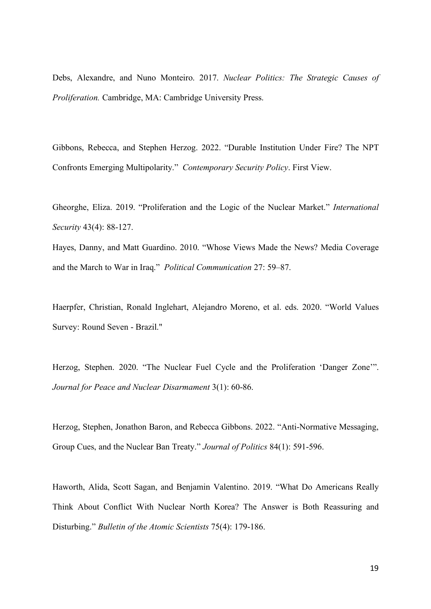Debs, Alexandre, and Nuno Monteiro. 2017. *Nuclear Politics: The Strategic Causes of Proliferation.* Cambridge, MA: Cambridge University Press.

Gibbons, Rebecca, and Stephen Herzog. 2022. "Durable Institution Under Fire? The NPT Confronts Emerging Multipolarity." *Contemporary Security Policy*. First View.

Gheorghe, Eliza. 2019. "Proliferation and the Logic of the Nuclear Market." *International Security* 43(4): 88-127.

Hayes, Danny, and Matt Guardino. 2010. "Whose Views Made the News? Media Coverage and the March to War in Iraq." *Political Communication* 27: 59–87.

Haerpfer, Christian, Ronald Inglehart, Alejandro Moreno, et al. eds. 2020. "World Values Survey: Round Seven - Brazil."

Herzog, Stephen. 2020. "The Nuclear Fuel Cycle and the Proliferation 'Danger Zone'". *Journal for Peace and Nuclear Disarmament* 3(1): 60-86.

Herzog, Stephen, Jonathon Baron, and Rebecca Gibbons. 2022. "Anti-Normative Messaging, Group Cues, and the Nuclear Ban Treaty." *Journal of Politics* 84(1): 591-596.

Haworth, Alida, Scott Sagan, and Benjamin Valentino. 2019. "What Do Americans Really Think About Conflict With Nuclear North Korea? The Answer is Both Reassuring and Disturbing." *Bulletin of the Atomic Scientists* 75(4): 179-186.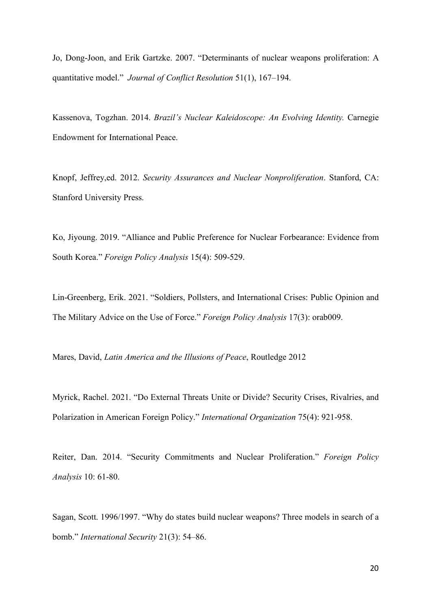Jo, Dong-Joon, and Erik Gartzke. 2007. "Determinants of nuclear weapons proliferation: A quantitative model." *Journal of Conflict Resolution* 51(1), 167–194.

Kassenova, Togzhan. 2014. *Brazil's Nuclear Kaleidoscope: An Evolving Identity.* Carnegie Endowment for International Peace.

Knopf, Jeffrey,ed. 2012. *Security Assurances and Nuclear Nonproliferation*. Stanford, CA: Stanford University Press.

Ko, Jiyoung. 2019. "Alliance and Public Preference for Nuclear Forbearance: Evidence from South Korea." *Foreign Policy Analysis* 15(4): 509-529.

Lin-Greenberg, Erik. 2021. "Soldiers, Pollsters, and International Crises: Public Opinion and The Military Advice on the Use of Force." *Foreign Policy Analysis* 17(3): orab009.

Mares, David, *Latin America and the Illusions of Peace*, Routledge 2012

Myrick, Rachel. 2021. "Do External Threats Unite or Divide? Security Crises, Rivalries, and Polarization in American Foreign Policy." *International Organization* 75(4): 921-958.

Reiter, Dan. 2014. "Security Commitments and Nuclear Proliferation." *Foreign Policy Analysis* 10: 61-80.

Sagan, Scott. 1996/1997. "Why do states build nuclear weapons? Three models in search of a bomb." *International Security* 21(3): 54–86.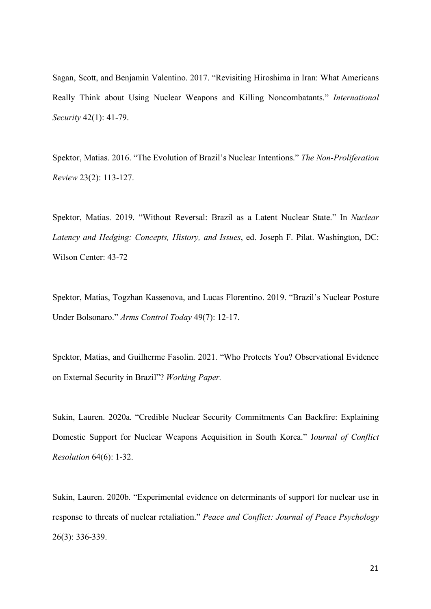Sagan, Scott, and Benjamin Valentino. 2017. "Revisiting Hiroshima in Iran: What Americans Really Think about Using Nuclear Weapons and Killing Noncombatants." *International Security* 42(1): 41-79.

Spektor, Matias. 2016. "The Evolution of Brazil's Nuclear Intentions." *The Non-Proliferation Review* 23(2): 113-127.

Spektor, Matias. 2019. "Without Reversal: Brazil as a Latent Nuclear State." In *Nuclear Latency and Hedging: Concepts, History, and Issues*, ed. Joseph F. Pilat. Washington, DC: Wilson Center: 43-72

Spektor, Matias, Togzhan Kassenova, and Lucas Florentino. 2019. "Brazil's Nuclear Posture Under Bolsonaro." *Arms Control Today* 49(7): 12-17.

Spektor, Matias, and Guilherme Fasolin. 2021. "Who Protects You? Observational Evidence on External Security in Brazil"? *Working Paper.*

Sukin, Lauren. 2020a. "Credible Nuclear Security Commitments Can Backfire: Explaining Domestic Support for Nuclear Weapons Acquisition in South Korea." J*ournal of Conflict Resolution* 64(6): 1-32.

Sukin, Lauren. 2020b. "Experimental evidence on determinants of support for nuclear use in response to threats of nuclear retaliation." *Peace and Conflict: Journal of Peace Psychology*  26(3): 336-339.